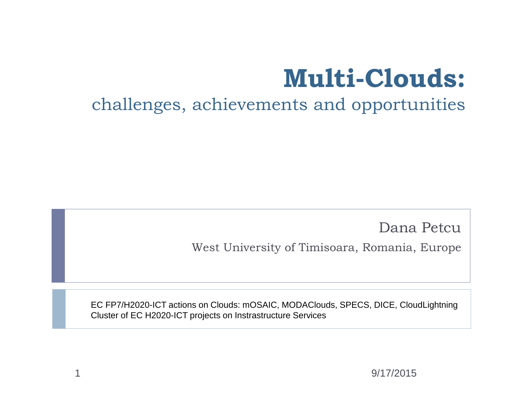## **Multi-Clouds:**

#### challenges, achievements and opportunities

Dana Petcu

West University of Timisoara, Romania, Europe

EC FP7/H2020-ICT actions on Clouds: mOSAIC, MODAClouds, SPECS, DICE, CloudLightning Cluster of EC H2020-ICT projects on Instrastructure Services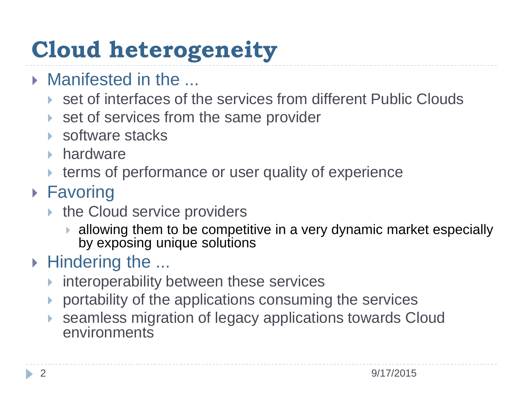## **Cloud heterogeneity**

- **Manifested in the ...** 
	- ▶ set of interfaces of the services from different Public Clouds
	- ▶ set of services from the same provider
	- **▶ software stacks**
	- **hardware**
	- **terms of performance or user quality of experience**

#### ▶ Favoring

- ▶ the Cloud service providers
	- allowing them to be competitive in a very dynamic market especially by exposing unique solutions

#### ▶ Hindering the ...

- **Interoperability between these services**
- portability of the applications consuming the services
- seamless migration of legacy applications towards Cloud environments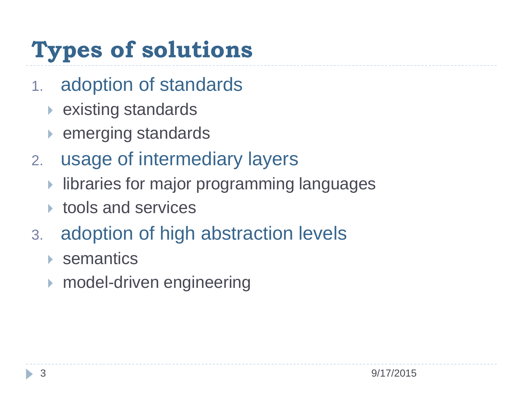## **Types of solutions**

- 1. adoption of standards
	- ▶ existing standards
	- ▶ emerging standards
- 2. usage of intermediary layers
	- **I** libraries for major programming languages
	- **► tools and services**
- 3. adoption of high abstraction levels
	- **▶ semantics**
	- **Model-driven engineering**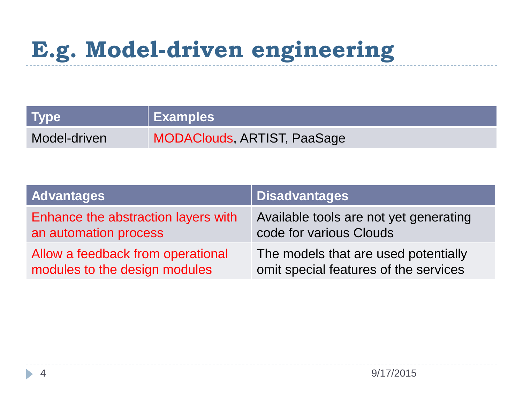## **E.g. Model-driven engineering**

| <b>Type</b>  | Examples                    |
|--------------|-----------------------------|
| Model-driven | MODAClouds, ARTIST, PaaSage |

| <b>Advantages</b>                   | <b>Disadvantages</b>                   |
|-------------------------------------|----------------------------------------|
| Enhance the abstraction layers with | Available tools are not yet generating |
| an automation process               | code for various Clouds                |
| Allow a feedback from operational   | The models that are used potentially   |
| modules to the design modules       | omit special features of the services  |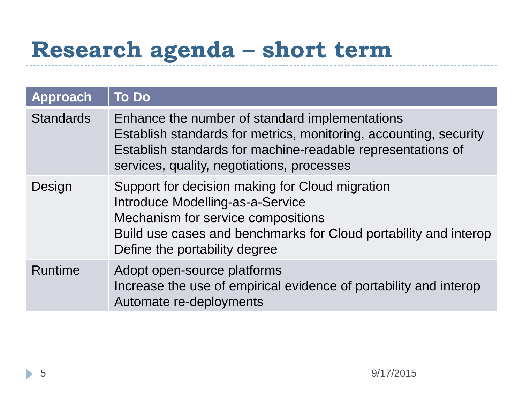## **Research agenda – short term**

| <b>Approach</b>  | <b>To Do</b>                                                                                                                                                                                                                     |
|------------------|----------------------------------------------------------------------------------------------------------------------------------------------------------------------------------------------------------------------------------|
| <b>Standards</b> | Enhance the number of standard implementations<br>Establish standards for metrics, monitoring, accounting, security<br>Establish standards for machine-readable representations of<br>services, quality, negotiations, processes |
| Design           | Support for decision making for Cloud migration<br>Introduce Modelling-as-a-Service<br>Mechanism for service compositions<br>Build use cases and benchmarks for Cloud portability and interop<br>Define the portability degree   |
| <b>Runtime</b>   | Adopt open-source platforms<br>Increase the use of empirical evidence of portability and interop<br>Automate re-deployments                                                                                                      |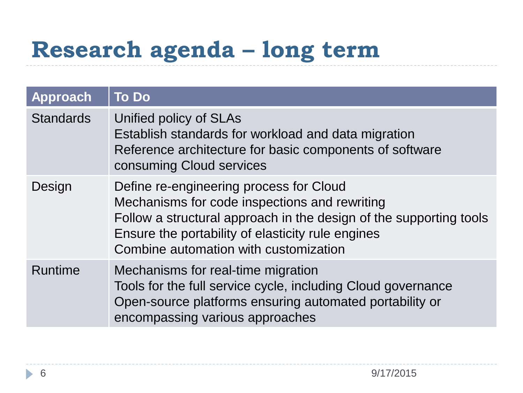## **Research agenda – long term**

| Approach         | <b>To Do</b>                                                                                                                                                                                                                                                 |
|------------------|--------------------------------------------------------------------------------------------------------------------------------------------------------------------------------------------------------------------------------------------------------------|
| <b>Standards</b> | Unified policy of SLAs<br>Establish standards for workload and data migration<br>Reference architecture for basic components of software<br>consuming Cloud services                                                                                         |
| Design           | Define re-engineering process for Cloud<br>Mechanisms for code inspections and rewriting<br>Follow a structural approach in the design of the supporting tools<br>Ensure the portability of elasticity rule engines<br>Combine automation with customization |
| <b>Runtime</b>   | Mechanisms for real-time migration<br>Tools for the full service cycle, including Cloud governance<br>Open-source platforms ensuring automated portability or<br>encompassing various approaches                                                             |

h.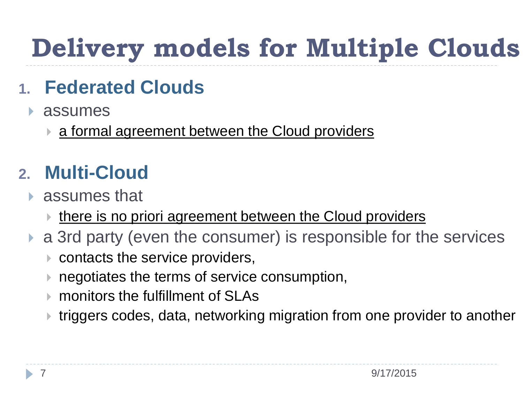# **Delivery models for Multiple Clouds**

### **1. Federated Clouds**

- assumes
	- **a formal agreement between the Cloud providers**

#### **2. Multi-Cloud**

- assumes that
	- **■** there is no priori agreement between the Cloud providers
- a 3rd party (even the consumer) is responsible for the services
	- contacts the service providers,
	- **negotiates the terms of service consumption,**
	- monitors the fulfillment of SLAs
	- triggers codes, data, networking migration from one provider to another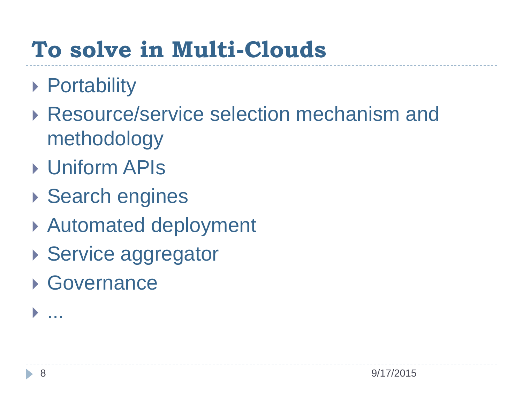## **To solve in Multi-Clouds**

- ▶ Portability
- ▶ Resource/service selection mechanism and methodology
- Uniform APIs
- ▶ Search engines
- Automated deployment
- ▶ Service aggregator
- ▶ Governance

...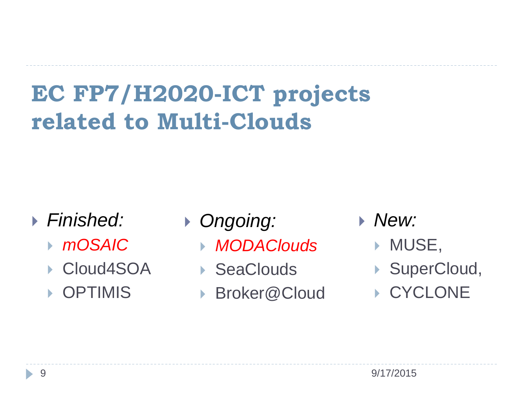## **EC FP7/H2020-ICT projects related to Multi-Clouds**

- *Finished:* 
	- *mOSAIC*
	- ▶ Cloud4SOA
	- ▶ OPTIMIS
- *Ongoing:* 
	- *MODAClouds*
	- ▶ SeaClouds
	- ▶ Broker@Cloud
- *New:* 
	- **MUSE,**
	- ▶ SuperCloud,
	- ▶ CYCLONE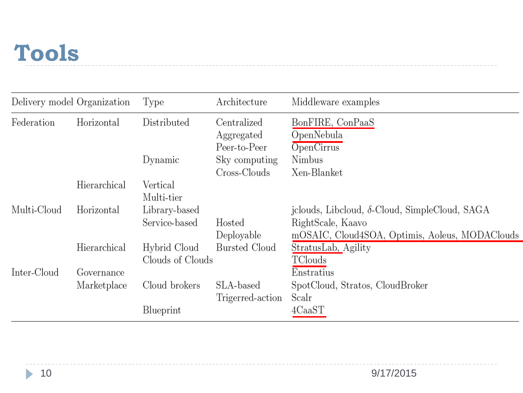### **Tools**

|             | Delivery model Organization | Type                   | Architecture                              | Middleware examples                                                 |
|-------------|-----------------------------|------------------------|-------------------------------------------|---------------------------------------------------------------------|
| Federation  | Horizontal                  | Distributed            | Centralized<br>Aggregated<br>Peer-to-Peer | BonFIRE, ConPaaS<br>OpenNebula<br>OpenCirrus                        |
|             |                             | Dynamic                | Sky computing<br>Cross-Clouds             | Nimbus<br>Xen-Blanket                                               |
|             | Hierarchical                | Vertical<br>Multi-tier |                                           |                                                                     |
| Multi-Cloud | Horizontal                  | Library-based          |                                           | jclouds, Libcloud, δ-Cloud, SimpleCloud, SAGA                       |
|             |                             | Service-based          | Hosted<br>Deployable                      | RightScale, Kaavo<br>mOSAIC, Cloud4SOA, Optimis, Aoleus, MODAClouds |
|             | Hierarchical                | Hybrid Cloud           | <b>Bursted Cloud</b>                      | StratusLab, Agility                                                 |
|             |                             | Clouds of Clouds       |                                           | TClouds                                                             |
| Inter-Cloud | Governance                  |                        |                                           | Enstratius                                                          |
|             | Marketplace                 | Cloud brokers          | SLA-based<br>Trigerred-action             | SpotCloud, Stratos, CloudBroker<br>Scalr                            |
|             |                             | Blueprint              |                                           | 4CaaST                                                              |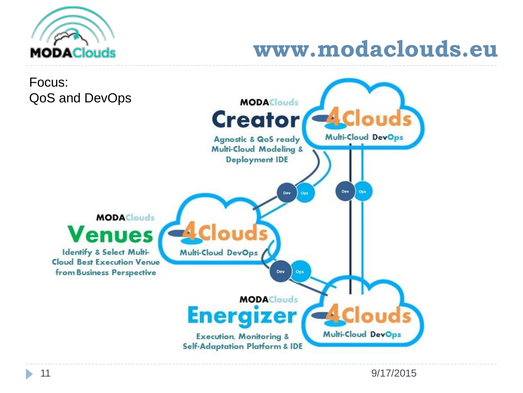

### **www.modaclouds.eu**